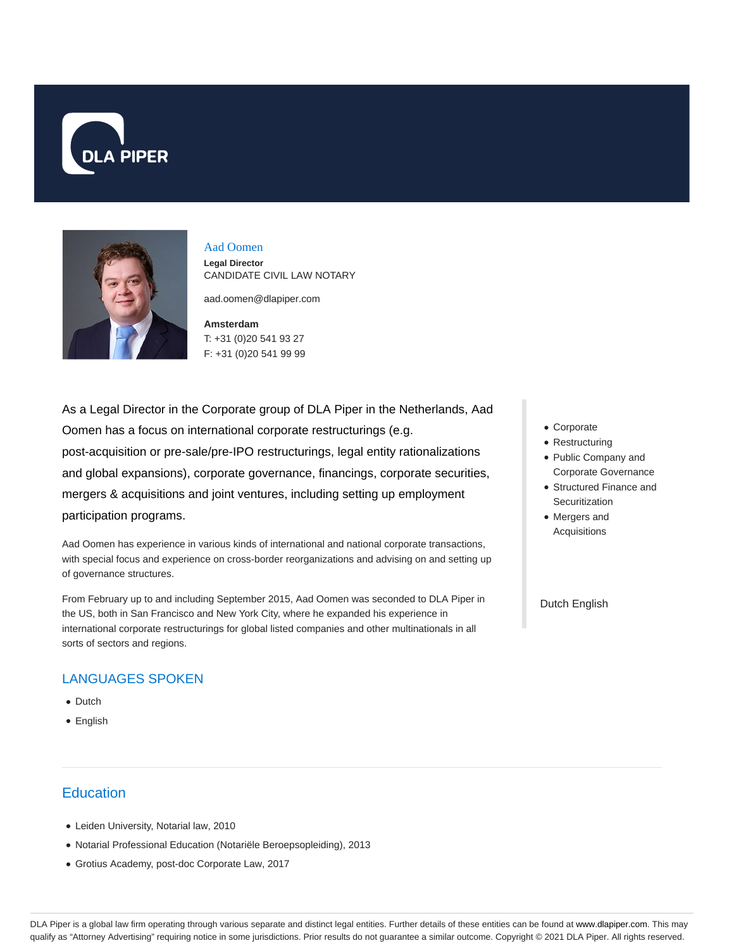



## Aad Oomen

**Legal Director** CANDIDATE CIVIL LAW NOTARY

aad.oomen@dlapiper.com

## **Amsterdam** T: +31 (0)20 541 93 27 F: +31 (0)20 541 99 99

As a Legal Director in the Corporate group of DLA Piper in the Netherlands, Aad Oomen has a focus on international corporate restructurings (e.g. post-acquisition or pre-sale/pre-IPO restructurings, legal entity rationalizations and global expansions), corporate governance, financings, corporate securities, mergers & acquisitions and joint ventures, including setting up employment participation programs.

Aad Oomen has experience in various kinds of international and national corporate transactions, with special focus and experience on cross-border reorganizations and advising on and setting up of governance structures.

From February up to and including September 2015, Aad Oomen was seconded to DLA Piper in the US, both in San Francisco and New York City, where he expanded his experience in international corporate restructurings for global listed companies and other multinationals in all sorts of sectors and regions.

## LANGUAGES SPOKEN

- Dutch
- English

# **Education**

- Leiden University, Notarial law, 2010
- Notarial Professional Education (Notariële Beroepsopleiding), 2013
- Grotius Academy, post-doc Corporate Law, 2017
- Corporate
- Restructuring
- Public Company and Corporate Governance
- Structured Finance and **Securitization**
- Mergers and Acquisitions

#### Dutch English

DLA Piper is a global law firm operating through various separate and distinct legal entities. Further details of these entities can be found at www.dlapiper.com. This may qualify as "Attorney Advertising" requiring notice in some jurisdictions. Prior results do not guarantee a similar outcome. Copyright © 2021 DLA Piper. All rights reserved.